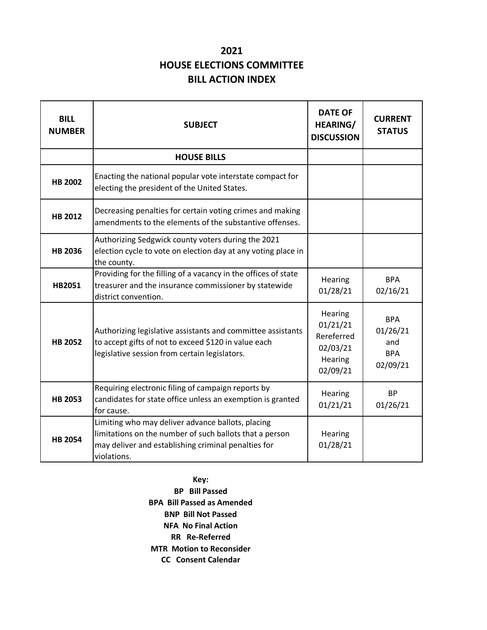## **2021 HOUSE ELECTIONS COMMITTEE BILL ACTION INDEX**

| <b>BILL</b><br><b>NUMBER</b> | <b>SUBJECT</b>                                                                                                                                                                     | <b>DATE OF</b><br><b>HEARING/</b><br><b>DISCUSSION</b>               | <b>CURRENT</b><br><b>STATUS</b>                         |
|------------------------------|------------------------------------------------------------------------------------------------------------------------------------------------------------------------------------|----------------------------------------------------------------------|---------------------------------------------------------|
|                              | <b>HOUSE BILLS</b>                                                                                                                                                                 |                                                                      |                                                         |
| <b>HB 2002</b>               | Enacting the national popular vote interstate compact for<br>electing the president of the United States.                                                                          |                                                                      |                                                         |
| HB 2012                      | Decreasing penalties for certain voting crimes and making<br>amendments to the elements of the substantive offenses.                                                               |                                                                      |                                                         |
| <b>HB 2036</b>               | Authorizing Sedgwick county voters during the 2021<br>election cycle to vote on election day at any voting place in<br>the county.                                                 |                                                                      |                                                         |
| HB2051                       | Providing for the filling of a vacancy in the offices of state<br>treasurer and the insurance commissioner by statewide<br>district convention.                                    | Hearing<br>01/28/21                                                  | <b>BPA</b><br>02/16/21                                  |
| <b>HB 2052</b>               | Authorizing legislative assistants and committee assistants<br>to accept gifts of not to exceed \$120 in value each<br>legislative session from certain legislators.               | Hearing<br>01/21/21<br>Rereferred<br>02/03/21<br>Hearing<br>02/09/21 | <b>BPA</b><br>01/26/21<br>and<br><b>BPA</b><br>02/09/21 |
| <b>HB 2053</b>               | Requiring electronic filing of campaign reports by<br>candidates for state office unless an exemption is granted<br>for cause.                                                     | Hearing<br>01/21/21                                                  | <b>BP</b><br>01/26/21                                   |
| <b>HB 2054</b>               | Limiting who may deliver advance ballots, placing<br>limitations on the number of such ballots that a person<br>may deliver and establishing criminal penalties for<br>violations. | Hearing<br>01/28/21                                                  |                                                         |

**Key:**

**BP Bill Passed BPA Bill Passed as Amended BNP Bill Not Passed NFA No Final Action RR Re-Referred MTR Motion to Reconsider CC Consent Calendar**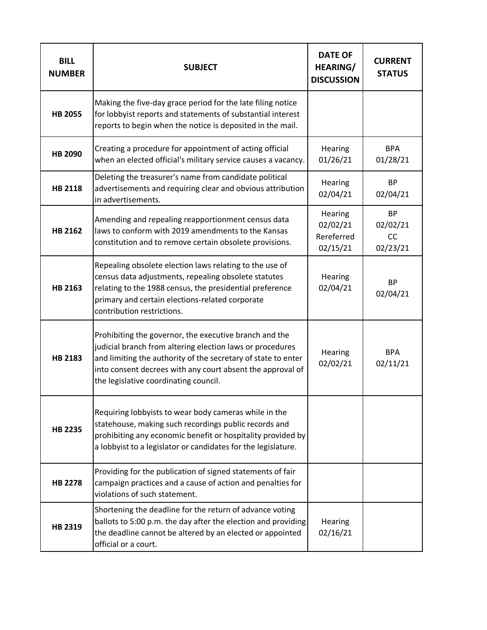| <b>BILL</b><br><b>NUMBER</b> | <b>SUBJECT</b>                                                                                                                                                                                                                                                                              | <b>DATE OF</b><br><b>HEARING/</b><br><b>DISCUSSION</b> | <b>CURRENT</b><br><b>STATUS</b>                |
|------------------------------|---------------------------------------------------------------------------------------------------------------------------------------------------------------------------------------------------------------------------------------------------------------------------------------------|--------------------------------------------------------|------------------------------------------------|
| <b>HB 2055</b>               | Making the five-day grace period for the late filing notice<br>for lobbyist reports and statements of substantial interest<br>reports to begin when the notice is deposited in the mail.                                                                                                    |                                                        |                                                |
| HB 2090                      | Creating a procedure for appointment of acting official<br>when an elected official's military service causes a vacancy.                                                                                                                                                                    | Hearing<br>01/26/21                                    | <b>BPA</b><br>01/28/21                         |
| <b>HB 2118</b>               | Deleting the treasurer's name from candidate political<br>advertisements and requiring clear and obvious attribution<br>in advertisements.                                                                                                                                                  | Hearing<br>02/04/21                                    | <b>BP</b><br>02/04/21                          |
| HB 2162                      | Amending and repealing reapportionment census data<br>laws to conform with 2019 amendments to the Kansas<br>constitution and to remove certain obsolete provisions.                                                                                                                         | Hearing<br>02/02/21<br>Rereferred<br>02/15/21          | <b>BP</b><br>02/02/21<br><b>CC</b><br>02/23/21 |
| HB 2163                      | Repealing obsolete election laws relating to the use of<br>census data adjustments, repealing obsolete statutes<br>relating to the 1988 census, the presidential preference<br>primary and certain elections-related corporate<br>contribution restrictions.                                | Hearing<br>02/04/21                                    | <b>BP</b><br>02/04/21                          |
| HB 2183                      | Prohibiting the governor, the executive branch and the<br>judicial branch from altering election laws or procedures<br>and limiting the authority of the secretary of state to enter<br>into consent decrees with any court absent the approval of<br>the legislative coordinating council. | Hearing<br>02/02/21                                    | <b>BPA</b><br>02/11/21                         |
| <b>HB 2235</b>               | Requiring lobbyists to wear body cameras while in the<br>statehouse, making such recordings public records and<br>prohibiting any economic benefit or hospitality provided by<br>a lobbyist to a legislator or candidates for the legislature.                                              |                                                        |                                                |
| <b>HB 2278</b>               | Providing for the publication of signed statements of fair<br>campaign practices and a cause of action and penalties for<br>violations of such statement.                                                                                                                                   |                                                        |                                                |
| HB 2319                      | Shortening the deadline for the return of advance voting<br>ballots to 5:00 p.m. the day after the election and providing<br>the deadline cannot be altered by an elected or appointed<br>official or a court.                                                                              | Hearing<br>02/16/21                                    |                                                |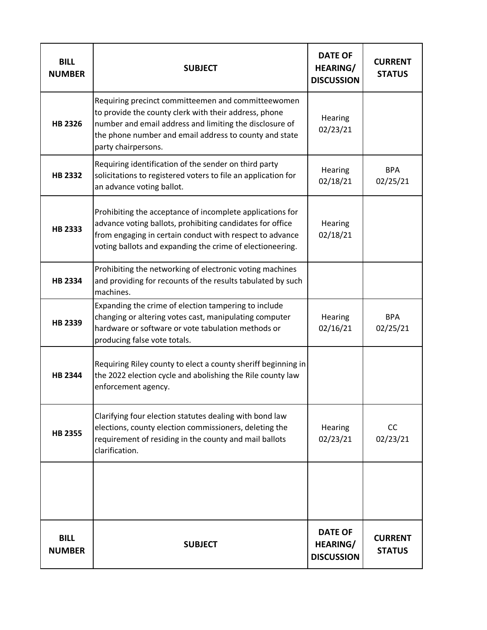| <b>BILL</b><br><b>NUMBER</b> | <b>SUBJECT</b>                                                                                                                                                                                                                                          | <b>DATE OF</b><br><b>HEARING/</b><br><b>DISCUSSION</b> | <b>CURRENT</b><br><b>STATUS</b> |
|------------------------------|---------------------------------------------------------------------------------------------------------------------------------------------------------------------------------------------------------------------------------------------------------|--------------------------------------------------------|---------------------------------|
| HB 2326                      | Requiring precinct committeemen and committeewomen<br>to provide the county clerk with their address, phone<br>number and email address and limiting the disclosure of<br>the phone number and email address to county and state<br>party chairpersons. | Hearing<br>02/23/21                                    |                                 |
| HB 2332                      | Requiring identification of the sender on third party<br>solicitations to registered voters to file an application for<br>an advance voting ballot.                                                                                                     | Hearing<br>02/18/21                                    | <b>BPA</b><br>02/25/21          |
| <b>HB 2333</b>               | Prohibiting the acceptance of incomplete applications for<br>advance voting ballots, prohibiting candidates for office<br>from engaging in certain conduct with respect to advance<br>voting ballots and expanding the crime of electioneering.         | Hearing<br>02/18/21                                    |                                 |
| <b>HB 2334</b>               | Prohibiting the networking of electronic voting machines<br>and providing for recounts of the results tabulated by such<br>machines.                                                                                                                    |                                                        |                                 |
| HB 2339                      | Expanding the crime of election tampering to include<br>changing or altering votes cast, manipulating computer<br>hardware or software or vote tabulation methods or<br>producing false vote totals.                                                    | Hearing<br>02/16/21                                    | <b>BPA</b><br>02/25/21          |
| HB 2344                      | Requiring Riley county to elect a county sheriff beginning in<br>the 2022 election cycle and abolishing the Rile county law<br>enforcement agency.                                                                                                      |                                                        |                                 |
| <b>HB 2355</b>               | Clarifying four election statutes dealing with bond law<br>elections, county election commissioners, deleting the<br>requirement of residing in the county and mail ballots<br>clarification.                                                           | Hearing<br>02/23/21                                    | <b>CC</b><br>02/23/21           |
|                              |                                                                                                                                                                                                                                                         |                                                        |                                 |
| <b>BILL</b><br><b>NUMBER</b> | <b>SUBJECT</b>                                                                                                                                                                                                                                          | <b>DATE OF</b><br><b>HEARING/</b><br><b>DISCUSSION</b> | <b>CURRENT</b><br><b>STATUS</b> |